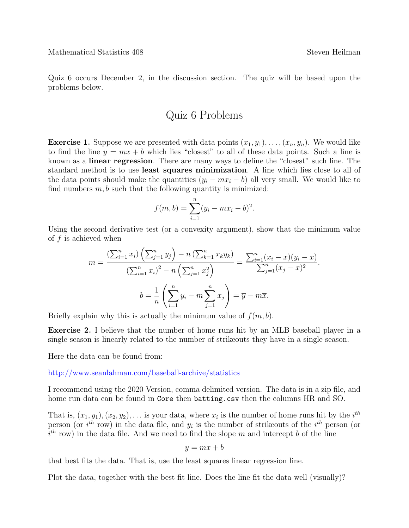Quiz 6 occurs December 2, in the discussion section. The quiz will be based upon the problems below.

## Quiz 6 Problems

**Exercise 1.** Suppose we are presented with data points  $(x_1, y_1), \ldots, (x_n, y_n)$ . We would like to find the line  $y = mx + b$  which lies "closest" to all of these data points. Such a line is known as a linear regression. There are many ways to define the "closest" such line. The standard method is to use least squares minimization. A line which lies close to all of the data points should make the quantities  $(y_i - mx_i - b)$  all very small. We would like to find numbers  $m, b$  such that the following quantity is minimized:

$$
f(m, b) = \sum_{i=1}^{n} (y_i - mx_i - b)^2.
$$

Using the second derivative test (or a convexity argument), show that the minimum value of  $f$  is achieved when

$$
m = \frac{\left(\sum_{i=1}^{n} x_i\right)\left(\sum_{j=1}^{n} y_j\right) - n\left(\sum_{k=1}^{n} x_k y_k\right)}{\left(\sum_{i=1}^{n} x_i\right)^2 - n\left(\sum_{j=1}^{n} x_j^2\right)} = \frac{\sum_{i=1}^{n} (x_i - \overline{x})(y_i - \overline{x})}{\sum_{j=1}^{n} (x_j - \overline{x})^2}.
$$

$$
b = \frac{1}{n} \left(\sum_{i=1}^{n} y_i - m \sum_{j=1}^{n} x_j\right) = \overline{y} - m\overline{x}.
$$

Briefly explain why this is actually the minimum value of  $f(m, b)$ .

Exercise 2. I believe that the number of home runs hit by an MLB baseball player in a single season is linearly related to the number of strikeouts they have in a single season.

Here the data can be found from:

<http://www.seanlahman.com/baseball-archive/statistics>

I recommend using the 2020 Version, comma delimited version. The data is in a zip file, and home run data can be found in Core then batting.csv then the columns HR and SO.

That is,  $(x_1, y_1), (x_2, y_2), \ldots$  is your data, where  $x_i$  is the number of home runs hit by the  $i^{th}$ person (or  $i^{th}$  row) in the data file, and  $y_i$  is the number of strikeouts of the  $i^{th}$  person (or  $i<sup>th</sup>$  row) in the data file. And we need to find the slope m and intercept b of the line

$$
y = mx + b
$$

that best fits the data. That is, use the least squares linear regression line.

Plot the data, together with the best fit line. Does the line fit the data well (visually)?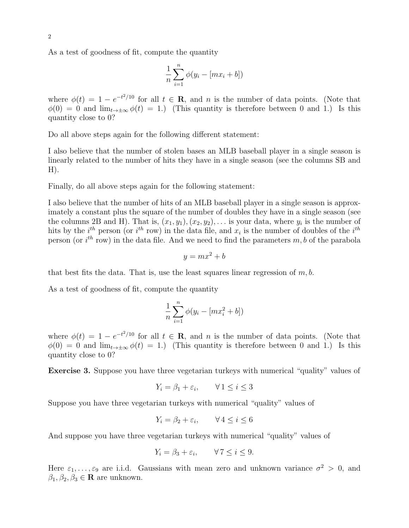As a test of goodness of fit, compute the quantity

$$
\frac{1}{n}\sum_{i=1}^{n}\phi(y_i - [mx_i + b])
$$

where  $\phi(t) = 1 - e^{-t^2/10}$  for all  $t \in \mathbb{R}$ , and n is the number of data points. (Note that  $\phi(0) = 0$  and  $\lim_{t\to\pm\infty} \phi(t) = 1$ .) (This quantity is therefore between 0 and 1.) Is this quantity close to 0?

Do all above steps again for the following different statement:

I also believe that the number of stolen bases an MLB baseball player in a single season is linearly related to the number of hits they have in a single season (see the columns SB and  $H$ ).

Finally, do all above steps again for the following statement:

I also believe that the number of hits of an MLB baseball player in a single season is approximately a constant plus the square of the number of doubles they have in a single season (see the columns 2B and H). That is,  $(x_1, y_1), (x_2, y_2), \ldots$  is your data, where  $y_i$  is the number of hits by the  $i^{th}$  person (or  $i^{th}$  row) in the data file, and  $x_i$  is the number of doubles of the  $i^{th}$ person (or  $i^{th}$  row) in the data file. And we need to find the parameters  $m, b$  of the parabola

$$
y = mx^2 + b
$$

that best fits the data. That is, use the least squares linear regression of  $m, b$ .

As a test of goodness of fit, compute the quantity

$$
\frac{1}{n}\sum_{i=1}^{n}\phi(y_i - [mx_i^2 + b])
$$

where  $\phi(t) = 1 - e^{-t^2/10}$  for all  $t \in \mathbb{R}$ , and n is the number of data points. (Note that  $\phi(0) = 0$  and  $\lim_{t\to+\infty} \phi(t) = 1$ .) (This quantity is therefore between 0 and 1.) Is this quantity close to 0?

Exercise 3. Suppose you have three vegetarian turkeys with numerical "quality" values of

$$
Y_i = \beta_1 + \varepsilon_i, \qquad \forall \, 1 \le i \le 3
$$

Suppose you have three vegetarian turkeys with numerical "quality" values of

$$
Y_i = \beta_2 + \varepsilon_i, \qquad \forall \, 4 \le i \le 6
$$

And suppose you have three vegetarian turkeys with numerical "quality" values of

$$
Y_i = \beta_3 + \varepsilon_i, \qquad \forall \, 7 \le i \le 9.
$$

Here  $\varepsilon_1,\ldots,\varepsilon_9$  are i.i.d. Gaussians with mean zero and unknown variance  $\sigma^2 > 0$ , and  $\beta_1, \beta_2, \beta_3 \in \mathbf{R}$  are unknown.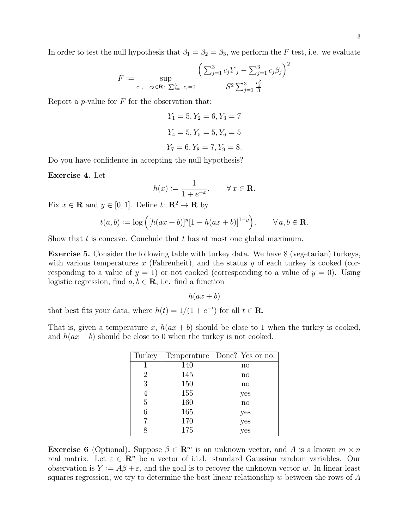In order to test the null hypothesis that  $\beta_1 = \beta_2 = \beta_3$ , we perform the F test, i.e. we evaluate

$$
F := \sup_{c_1, \dots, c_3 \in \mathbf{R}: \sum_{i=1}^3 c_i = 0} \frac{\left(\sum_{j=1}^3 c_j \overline{Y}_j - \sum_{j=1}^3 c_j \beta_j\right)^2}{S^2 \sum_{j=1}^3 \frac{c_j^2}{3}}
$$

Report a *p*-value for  $F$  for the observation that:

 $Y_1 = 5, Y_2 = 6, Y_3 = 7$  $Y_4 = 5, Y_5 = 5, Y_6 = 5$  $Y_7 = 6, Y_8 = 7, Y_9 = 8.$ 

Do you have confidence in accepting the null hypothesis?

Exercise 4. Let

$$
h(x) := \frac{1}{1 + e^{-x}}, \qquad \forall \, x \in \mathbf{R}.
$$

Fix  $x \in \mathbf{R}$  and  $y \in [0, 1]$ . Define  $t: \mathbf{R}^2 \to \mathbf{R}$  by

$$
t(a, b) := \log ([h(ax + b)]^{y} [1 - h(ax + b)]^{1-y}), \qquad \forall a, b \in \mathbf{R}.
$$

Show that t is concave. Conclude that t has at most one global maximum.

Exercise 5. Consider the following table with turkey data. We have 8 (vegetarian) turkeys, with various temperatures x (Fahrenheit), and the status  $y$  of each turkey is cooked (corresponding to a value of  $y = 1$ ) or not cooked (corresponding to a value of  $y = 0$ ). Using logistic regression, find  $a, b \in \mathbf{R}$ , i.e. find a function

$$
h(ax + b)
$$

that best fits your data, where  $h(t) = 1/(1 + e^{-t})$  for all  $t \in \mathbb{R}$ .

That is, given a temperature x,  $h(ax + b)$  should be close to 1 when the turkey is cooked, and  $h(ax + b)$  should be close to 0 when the turkey is not cooked.

| Turkey         |     | Temperature Done? Yes or no. |
|----------------|-----|------------------------------|
|                | 140 | $\mathbf{n}$                 |
| $\overline{2}$ | 145 | no                           |
| 3              | 150 | $\mathbf{n}$                 |
| $\overline{4}$ | 155 | yes                          |
| $\overline{5}$ | 160 | no                           |
| 6              | 165 | yes                          |
|                | 170 | yes                          |
|                | 175 | yes                          |

**Exercise 6** (Optional). Suppose  $\beta \in \mathbb{R}^m$  is an unknown vector, and A is a known  $m \times n$ real matrix. Let  $\varepsilon \in \mathbb{R}^n$  be a vector of i.i.d. standard Gaussian random variables. Our observation is  $Y := A\beta + \varepsilon$ , and the goal is to recover the unknown vector w. In linear least squares regression, we try to determine the best linear relationship  $w$  between the rows of  $A$